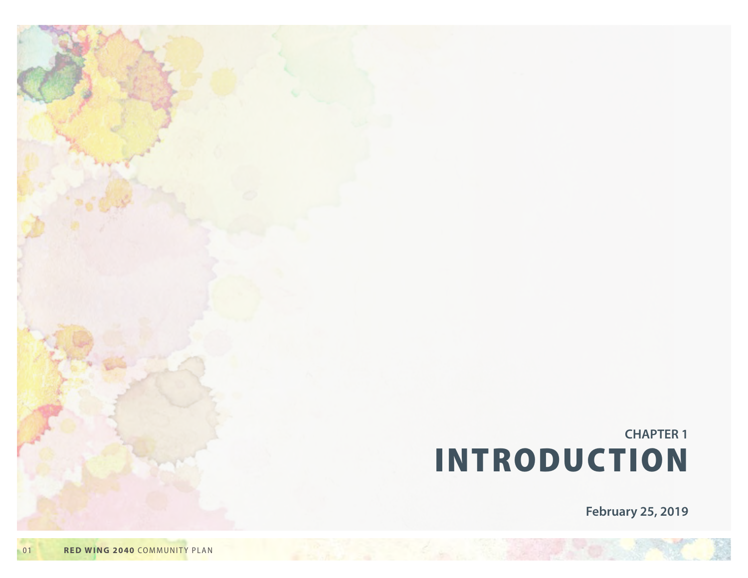# **CHAPTER 1 INTRODUCTION**

**February 25, 2019**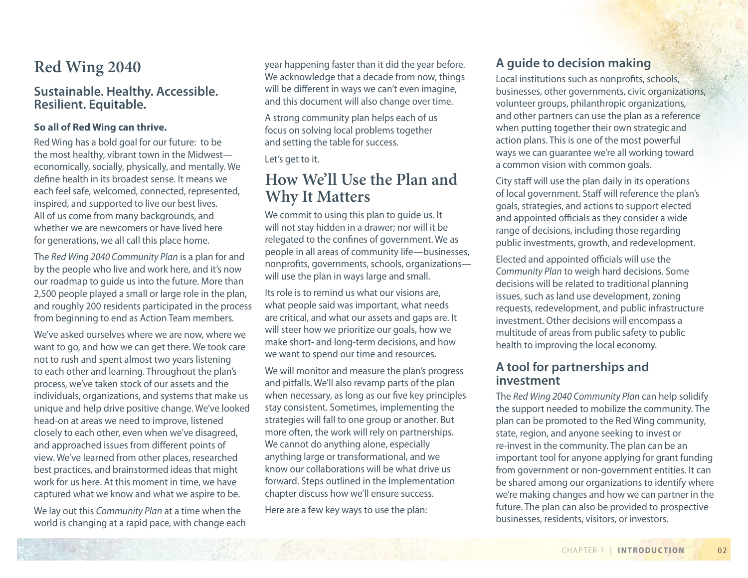# **Red Wing 2040**

#### **Sustainable. Healthy. Accessible. Resilient. Equitable.**

#### **So all of Red Wing can thrive.**

Red Wing has a bold goal for our future: to be the most healthy, vibrant town in the Midwest economically, socially, physically, and mentally. We define health in its broadest sense. It means we each feel safe, welcomed, connected, represented, inspired, and supported to live our best lives. All of us come from many backgrounds, and whether we are newcomers or have lived here for generations, we all call this place home.

The *Red Wing 2040 Community Plan* is a plan for and by the people who live and work here, and it's now our roadmap to guide us into the future. More than 2,500 people played a small or large role in the plan, and roughly 200 residents participated in the process from beginning to end as Action Team members.

We've asked ourselves where we are now, where we want to go, and how we can get there. We took care not to rush and spent almost two years listening to each other and learning. Throughout the plan's process, we've taken stock of our assets and the individuals, organizations, and systems that make us unique and help drive positive change. We've looked head-on at areas we need to improve, listened closely to each other, even when we've disagreed, and approached issues from different points of view. We've learned from other places, researched best practices, and brainstormed ideas that might work for us here. At this moment in time, we have captured what we know and what we aspire to be.

We lay out this *Community Plan* at a time when the world is changing at a rapid pace, with change each year happening faster than it did the year before. We acknowledge that a decade from now, things will be different in ways we can't even imagine, and this document will also change over time.

A strong community plan helps each of us focus on solving local problems together and setting the table for success.

Let's get to it.

### **How We'll Use the Plan and Why It Matters**

We commit to using this plan to guide us. It will not stay hidden in a drawer; nor will it be relegated to the confines of government. We as people in all areas of community life—businesses, nonprofits, governments, schools, organizations will use the plan in ways large and small.

Its role is to remind us what our visions are, what people said was important, what needs are critical, and what our assets and gaps are. It will steer how we prioritize our goals, how we make short- and long-term decisions, and how we want to spend our time and resources.

We will monitor and measure the plan's progress and pitfalls. We'll also revamp parts of the plan when necessary, as long as our five key principles stay consistent. Sometimes, implementing the strategies will fall to one group or another. But more often, the work will rely on partnerships. We cannot do anything alone, especially anything large or transformational, and we know our collaborations will be what drive us forward. Steps outlined in the Implementation chapter discuss how we'll ensure success.

Here are a few key ways to use the plan:

### **A guide to decision making**

Local institutions such as nonprofits, schools, businesses, other governments, civic organizations, volunteer groups, philanthropic organizations, and other partners can use the plan as a reference when putting together their own strategic and action plans. This is one of the most powerful ways we can guarantee we're all working toward a common vision with common goals.

City staff will use the plan daily in its operations of local government. Staff will reference the plan's goals, strategies, and actions to support elected and appointed officials as they consider a wide range of decisions, including those regarding public investments, growth, and redevelopment.

Elected and appointed officials will use the *Community Plan* to weigh hard decisions. Some decisions will be related to traditional planning issues, such as land use development, zoning requests, redevelopment, and public infrastructure investment. Other decisions will encompass a multitude of areas from public safety to public health to improving the local economy.

#### **A tool for partnerships and investment**

The *Red Wing 2040 Community Plan* can help solidify the support needed to mobilize the community. The plan can be promoted to the Red Wing community, state, region, and anyone seeking to invest or re-invest in the community. The plan can be an important tool for anyone applying for grant funding from government or non-government entities. It can be shared among our organizations to identify where we're making changes and how we can partner in the future. The plan can also be provided to prospective businesses, residents, visitors, or investors.

0 2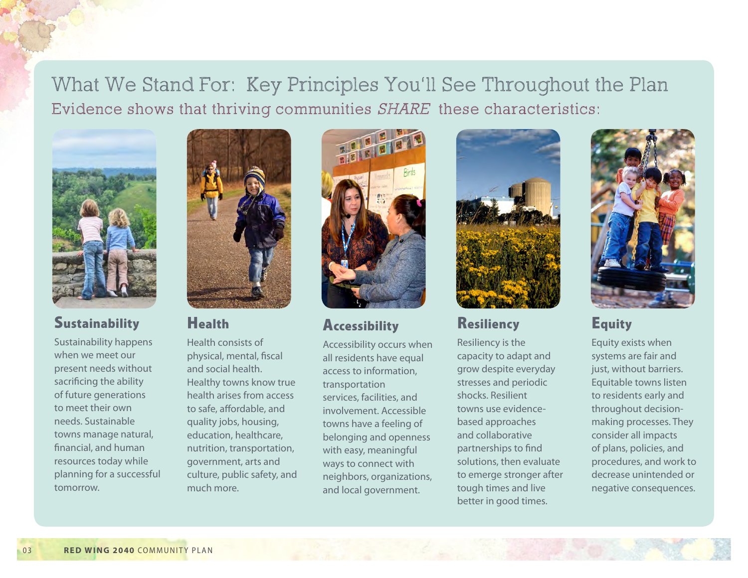What We Stand For: Key Principles You'll See Throughout the Plan Evidence shows that thriving communities SHARE these characteristics:



### **Sustainability**

Sustainability happens when we meet our present needs without sacrificing the ability of future generations to meet their own needs. Sustainable towns manage natural, financial, and human resources today while planning for a successful tomorrow.



### Health

Health consists of physical, mental, fiscal and social health. Healthy towns know true health arises from access to safe, affordable, and quality jobs, housing, education, healthcare, nutrition, transportation, government, arts and culture, public safety, and much more.



### **Accessibility**

Accessibility occurs when all residents have equal access to information, transportation services, facilities, and involvement. Accessible towns have a feeling of belonging and openness with easy, meaningful ways to connect with neighbors, organizations, and local government.



### Resiliency

Resiliency is the capacity to adapt and grow despite everyday stresses and periodic shocks. Resilient towns use evidencebased approaches and collaborative partnerships to find solutions, then evaluate to emerge stronger after tough times and live better in good times.



# **Equity**

Equity exists when systems are fair and just, without barriers. Equitable towns listen to residents early and throughout decisionmaking processes. They consider all impacts of plans, policies, and procedures, and work to decrease unintended or negative consequences.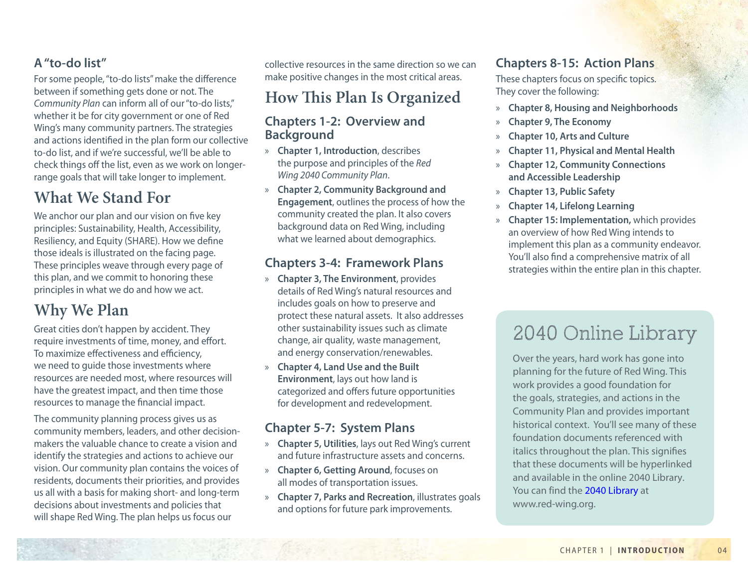### **A "to-do list"**

For some people, "to-do lists" make the difference between if something gets done or not. The *Community Plan* can inform all of our "to-do lists," whether it be for city government or one of Red Wing's many community partners. The strategies and actions identified in the plan form our collective to-do list, and if we're successful, we'll be able to check things off the list, even as we work on longerrange goals that will take longer to implement.

# **What We Stand For**

We anchor our plan and our vision on five key principles: Sustainability, Health, Accessibility, Resiliency, and Equity (SHARE). How we define those ideals is illustrated on the facing page. These principles weave through every page of this plan, and we commit to honoring these principles in what we do and how we act.

# **Why We Plan**

Great cities don't happen by accident. They require investments of time, money, and effort. To maximize effectiveness and efficiency, we need to guide those investments where resources are needed most, where resources will have the greatest impact, and then time those resources to manage the financial impact.

The community planning process gives us as community members, leaders, and other decisionmakers the valuable chance to create a vision and identify the strategies and actions to achieve our vision. Our community plan contains the voices of residents, documents their priorities, and provides us all with a basis for making short- and long-term decisions about investments and policies that will shape Red Wing. The plan helps us focus our

collective resources in the same direction so we can make positive changes in the most critical areas.

### **How This Plan Is Organized**

### **Chapters 1-2: Overview and Background**

- » **Chapter 1, Introduction**, describes the purpose and principles of the *Red Wing 2040 Community Plan*.
- » **Chapter 2, Community Background and Engagement**, outlines the process of how the community created the plan. It also covers background data on Red Wing, including what we learned about demographics.

### **Chapters 3-4: Framework Plans**

- » **Chapter 3, The Environment**, provides details of Red Wing's natural resources and includes goals on how to preserve and protect these natural assets. It also addresses other sustainability issues such as climate change, air quality, waste management, and energy conservation/renewables.
- » **Chapter 4, Land Use and the Built Environment**, lays out how land is categorized and offers future opportunities for development and redevelopment.

### **Chapter 5-7: System Plans**

- » **Chapter 5, Utilities**, lays out Red Wing's current and future infrastructure assets and concerns.
- » **Chapter 6, Getting Around**, focuses on all modes of transportation issues.
- » **Chapter 7, Parks and Recreation**, illustrates goals and options for future park improvements.

### **Chapters 8-15: Action Plans**

These chapters focus on specific topics. They cover the following:

- » **Chapter 8, Housing and Neighborhoods**
- » **Chapter 9, The Economy**
- » **Chapter 10, Arts and Culture**
- » **Chapter 11, Physical and Mental Health**
- » **Chapter 12, Community Connections and Accessible Leadership**
- » **Chapter 13, Public Safety**
- » **Chapter 14, Lifelong Learning**
- » **Chapter 15: Implementation,** which provides an overview of how Red Wing intends to implement this plan as a community endeavor. You'll also find a comprehensive matrix of all strategies within the entire plan in this chapter.

# 2040 Online Library

Over the years, hard work has gone into planning for the future of Red Wing. This work provides a good foundation for the goals, strategies, and actions in the Community Plan and provides important historical context. You'll see many of these foundation documents referenced with italics throughout the plan. This signifies that these documents will be hyperlinked and available in the online 2040 Library. You can find the [2040 Library](http://lf.ci.red-wing.mn.us/weblink/browse.aspx?dbid=0&startid=163525) at www.red-wing.org.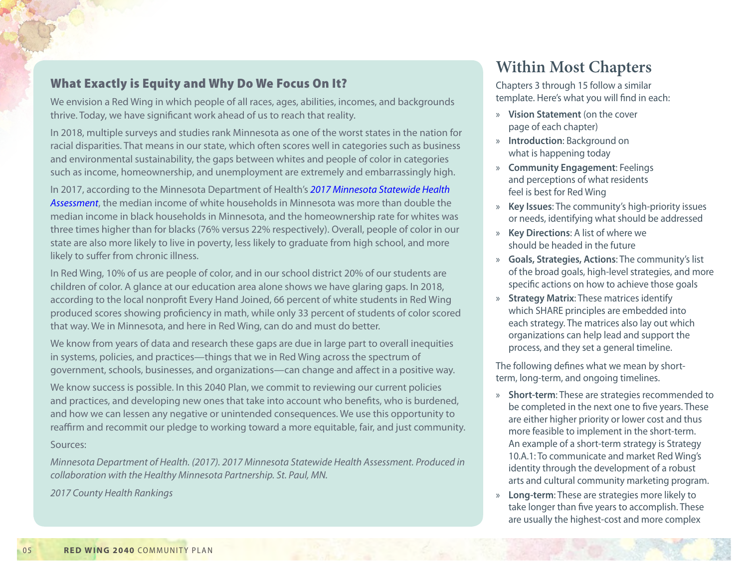### What Exactly is Equity and Why Do We Focus On It?

We envision a Red Wing in which people of all races, ages, abilities, incomes, and backgrounds thrive. Today, we have significant work ahead of us to reach that reality.

In 2018, multiple surveys and studies rank Minnesota as one of the worst states in the nation for racial disparities. That means in our state, which often scores well in categories such as business and environmental sustainability, the gaps between whites and people of color in categories such as income, homeownership, and unemployment are extremely and embarrassingly high.

In 2017, according to the Minnesota Department of Health's *[2017 Minnesota Statewide Health](http://lf.ci.red-wing.mn.us/weblink/DocView.aspx?dbid=0&id=163537)  [Assessment](http://lf.ci.red-wing.mn.us/weblink/DocView.aspx?dbid=0&id=163537)*, the median income of white households in Minnesota was more than double the median income in black households in Minnesota, and the homeownership rate for whites was three times higher than for blacks (76% versus 22% respectively). Overall, people of color in our state are also more likely to live in poverty, less likely to graduate from high school, and more likely to suffer from chronic illness.

In Red Wing, 10% of us are people of color, and in our school district 20% of our students are children of color. A glance at our education area alone shows we have glaring gaps. In 2018, according to the local nonprofit Every Hand Joined, 66 percent of white students in Red Wing produced scores showing proficiency in math, while only 33 percent of students of color scored that way. We in Minnesota, and here in Red Wing, can do and must do better.

We know from years of data and research these gaps are due in large part to overall inequities in systems, policies, and practices—things that we in Red Wing across the spectrum of government, schools, businesses, and organizations—can change and affect in a positive way.

We know success is possible. In this 2040 Plan, we commit to reviewing our current policies and practices, and developing new ones that take into account who benefits, who is burdened, and how we can lessen any negative or unintended consequences. We use this opportunity to reaffirm and recommit our pledge to working toward a more equitable, fair, and just community.

#### Sources:

*Minnesota Department of Health. (2017). 2017 Minnesota Statewide Health Assessment. Produced in collaboration with the Healthy Minnesota Partnership. St. Paul, MN.* 

*2017 County Health Rankings*

## **Within Most Chapters**

Chapters 3 through 15 follow a similar template. Here's what you will find in each:

- » **Vision Statement** (on the cover page of each chapter)
- » **Introduction**: Background on what is happening today
- » **Community Engagement**: Feelings and perceptions of what residents feel is best for Red Wing
- » **Key Issues**: The community's high-priority issues or needs, identifying what should be addressed
- » **Key Directions**: A list of where we should be headed in the future
- » **Goals, Strategies, Actions**: The community's list of the broad goals, high-level strategies, and more specific actions on how to achieve those goals
- » **Strategy Matrix**: These matrices identify which SHARE principles are embedded into each strategy. The matrices also lay out which organizations can help lead and support the process, and they set a general timeline.

The following defines what we mean by shortterm, long-term, and ongoing timelines.

- » **Short-term**: These are strategies recommended to be completed in the next one to five years. These are either higher priority or lower cost and thus more feasible to implement in the short-term. An example of a short-term strategy is Strategy 10.A.1: To communicate and market Red Wing's identity through the development of a robust arts and cultural community marketing program.
- » **Long-term**: These are strategies more likely to take longer than five years to accomplish. These are usually the highest-cost and more complex